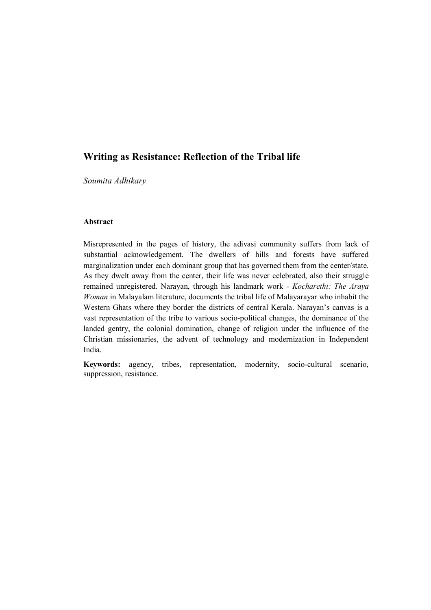# **Writing as Resistance: Reflection of the Tribal life**

*Soumita Adhikary*

## **Abstract**

Misrepresented in the pages of history, the adivasi community suffers from lack of substantial acknowledgement. The dwellers of hills and forests have suffered marginalization under each dominant group that has governed them from the center/state. As they dwelt away from the center, their life was never celebrated, also their struggle remained unregistered. Narayan, through his landmark work - *Kocharethi: The Araya Woman* in Malayalam literature, documents the tribal life of Malayarayar who inhabit the Western Ghats where they border the districts of central Kerala. Narayan's canvas is a vast representation of the tribe to various socio-political changes, the dominance of the landed gentry, the colonial domination, change of religion under the influence of the Christian missionaries, the advent of technology and modernization in Independent India.

**Keywords:** agency, tribes, representation, modernity, socio-cultural scenario, suppression, resistance.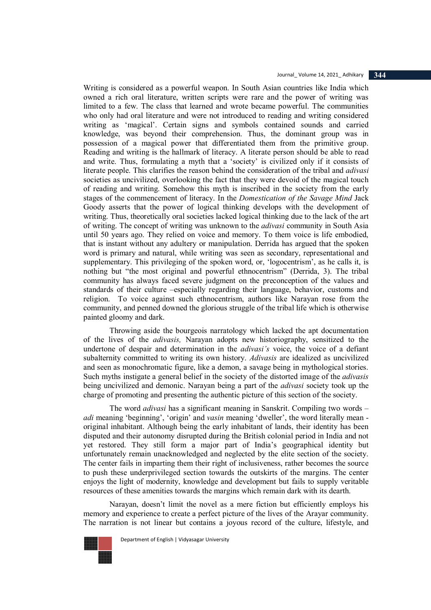#### Journal\_ Volume 14, 2021\_ Adhikary **344**

Writing is considered as a powerful weapon. In South Asian countries like India which owned a rich oral literature, written scripts were rare and the power of writing was limited to a few. The class that learned and wrote became powerful. The communities who only had oral literature and were not introduced to reading and writing considered writing as 'magical'. Certain signs and symbols contained sounds and carried knowledge, was beyond their comprehension. Thus, the dominant group was in possession of a magical power that differentiated them from the primitive group. Reading and writing is the hallmark of literacy. A literate person should be able to read and write. Thus, formulating a myth that a 'society' is civilized only if it consists of literate people. This clarifies the reason behind the consideration of the tribal and *adivasi* societies as uncivilized, overlooking the fact that they were devoid of the magical touch of reading and writing. Somehow this myth is inscribed in the society from the early stages of the commencement of literacy. In the *Domestication of the Savage Mind* Jack Goody asserts that the power of logical thinking develops with the development of writing. Thus, theoretically oral societies lacked logical thinking due to the lack of the art of writing. The concept of writing was unknown to the *adivasi* community in South Asia until 50 years ago. They relied on voice and memory. To them voice is life embodied, that is instant without any adultery or manipulation. Derrida has argued that the spoken word is primary and natural, while writing was seen as secondary, representational and supplementary. This privileging of the spoken word, or, 'logocentrism', as he calls it, is nothing but "the most original and powerful ethnocentrism" (Derrida, 3). The tribal community has always faced severe judgment on the preconception of the values and standards of their culture –especially regarding their language, behavior, customs and religion. To voice against such ethnocentrism, authors like Narayan rose from the community, and penned downed the glorious struggle of the tribal life which is otherwise painted gloomy and dark.

Throwing aside the bourgeois narratology which lacked the apt documentation of the lives of the *adivasis,* Narayan adopts new historiography, sensitized to the undertone of despair and determination in the *adivasi's* voice, the voice of a defiant subalternity committed to writing its own history. *Adivasis* are idealized as uncivilized and seen as monochromatic figure, like a demon, a savage being in mythological stories. Such myths instigate a general belief in the society of the distorted image of the *adivasis* being uncivilized and demonic. Narayan being a part of the *adivasi* society took up the charge of promoting and presenting the authentic picture of this section of the society.

The word *adivasi* has a significant meaning in Sanskrit. Compiling two words – *adi* meaning 'beginning', 'origin' and *vasin* meaning 'dweller', the word literally mean original inhabitant. Although being the early inhabitant of lands, their identity has been disputed and their autonomy disrupted during the British colonial period in India and not yet restored. They still form a major part of India's geographical identity but unfortunately remain unacknowledged and neglected by the elite section of the society. The center fails in imparting them their right of inclusiveness, rather becomes the source to push these underprivileged section towards the outskirts of the margins. The center enjoys the light of modernity, knowledge and development but fails to supply veritable resources of these amenities towards the margins which remain dark with its dearth.

Narayan, doesn't limit the novel as a mere fiction but efficiently employs his memory and experience to create a perfect picture of the lives of the Arayar community. The narration is not linear but contains a joyous record of the culture, lifestyle, and



Department of English | Vidyasagar University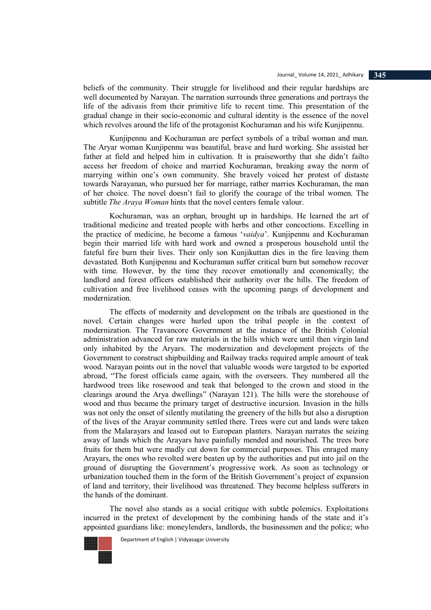beliefs of the community. Their struggle for livelihood and their regular hardships are well documented by Narayan. The narration surrounds three generations and portrays the life of the adivasis from their primitive life to recent time. This presentation of the gradual change in their socio-economic and cultural identity is the essence of the novel which revolves around the life of the protagonist Kochuraman and his wife Kunjipennu.

Kunjipennu and Kochuraman are perfect symbols of a tribal woman and man. The Aryar woman Kunjipennu was beautiful, brave and hard working. She assisted her father at field and helped him in cultivation. It is praiseworthy that she didn't failto access her freedom of choice and married Kochuraman, breaking away the norm of marrying within one's own community. She bravely voiced her protest of distaste towards Narayanan, who pursued her for marriage, rather marries Kochuraman, the man of her choice. The novel doesn't fail to glorify the courage of the tribal women. The subtitle *The Araya Woman* hints that the novel centers female valour.

Kochuraman, was an orphan, brought up in hardships. He learned the art of traditional medicine and treated people with herbs and other concoctions. Excelling in the practice of medicine, he become a famous '*vaidya*'. Kunjipennu and Kochuraman begin their married life with hard work and owned a prosperous household until the fateful fire burn their lives. Their only son Kunjikuttan dies in the fire leaving them devastated. Both Kunjipennu and Kochuraman suffer critical burn but somehow recover with time. However, by the time they recover emotionally and economically; the landlord and forest officers established their authority over the hills. The freedom of cultivation and free livelihood ceases with the upcoming pangs of development and modernization.

The effects of modernity and development on the tribals are questioned in the novel. Certain changes were hurled upon the tribal people in the context of modernization. The Travancore Government at the instance of the British Colonial administration advanced for raw materials in the hills which were until then virgin land only inhabited by the Aryars. The modernization and development projects of the Government to construct shipbuilding and Railway tracks required ample amount of teak wood. Narayan points out in the novel that valuable woods were targeted to be exported abroad, "The forest officials came again, with the overseers. They numbered all the hardwood trees like rosewood and teak that belonged to the crown and stood in the clearings around the Arya dwellings" (Narayan 121). The hills were the storehouse of wood and thus became the primary target of destructive incursion. Invasion in the hills was not only the onset of silently mutilating the greenery of the hills but also a disruption of the lives of the Arayar community settled there. Trees were cut and lands were taken from the Malarayars and leased out to European planters. Narayan narrates the seizing away of lands which the Arayars have painfully mended and nourished. The trees bore fruits for them but were madly cut down for commercial purposes. This enraged many Arayars, the ones who revolted were beaten up by the authorities and put into jail on the ground of disrupting the Government's progressive work. As soon as technology or urbanization touched them in the form of the British Government's project of expansion of land and territory, their livelihood was threatened. They become helpless sufferers in the hands of the dominant.

The novel also stands as a social critique with subtle polemics. Exploitations incurred in the pretext of development by the combining hands of the state and it's appointed guardians like: moneylenders, landlords, the businessmen and the police; who

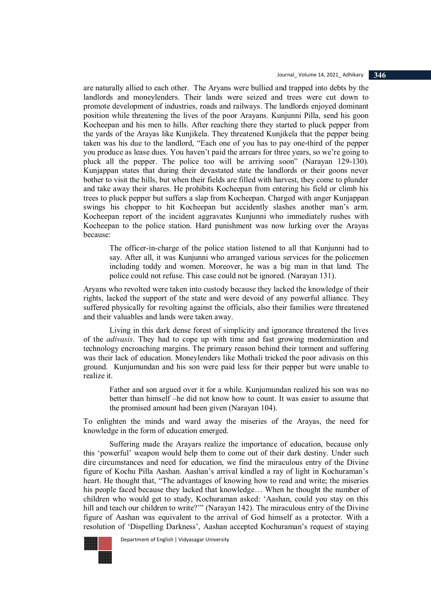#### Journal\_ Volume 14, 2021\_ Adhikary **346**

are naturally allied to each other. The Aryans were bullied and trapped into debts by the landlords and moneylenders. Their lands were seized and trees were cut down to promote development of industries, roads and railways. The landlords enjoyed dominant position while threatening the lives of the poor Arayans. Kunjunni Pilla, send his goon Kocheepan and his men to hills. After reaching there they started to pluck pepper from the yards of the Arayas like Kunjikela. They threatened Kunjikela that the pepper being taken was his due to the landlord, "Each one of you has to pay one-third of the pepper you produce as lease dues. You haven't paid the arrears for three years, so we're going to pluck all the pepper. The police too will be arriving soon" (Narayan 129-130). Kunjappan states that during their devastated state the landlords or their goons never bother to visit the hills, but when their fields are filled with harvest, they come to plunder and take away their shares. He prohibits Kocheepan from entering his field or climb his trees to pluck pepper but suffers a slap from Kocheepan. Charged with anger Kunjappan swings his chopper to hit Kocheepan but accidently slashes another man's arm. Kocheepan report of the incident aggravates Kunjunni who immediately rushes with Kocheepan to the police station. Hard punishment was now lurking over the Arayas because:

The officer-in-charge of the police station listened to all that Kunjunni had to say. After all, it was Kunjunni who arranged various services for the policemen including toddy and women. Moreover, he was a big man in that land. The police could not refuse. This case could not be ignored. (Narayan 131).

Aryans who revolted were taken into custody because they lacked the knowledge of their rights, lacked the support of the state and were devoid of any powerful alliance. They suffered physically for revolting against the officials, also their families were threatened and their valuables and lands were taken away.

Living in this dark dense forest of simplicity and ignorance threatened the lives of the *adivasis*. They had to cope up with time and fast growing modernization and technology encroaching margins. The primary reason behind their torment and suffering was their lack of education. Moneylenders like Mothali tricked the poor adivasis on this ground. Kunjumundan and his son were paid less for their pepper but were unable to realize it.

Father and son argued over it for a while. Kunjumundan realized his son was no better than himself –he did not know how to count. It was easier to assume that the promised amount had been given (Narayan 104).

To enlighten the minds and ward away the miseries of the Arayas, the need for knowledge in the form of education emerged.

Suffering made the Arayars realize the importance of education, because only this 'powerful' weapon would help them to come out of their dark destiny. Under such dire circumstances and need for education, we find the miraculous entry of the Divine figure of Kochu Pilla Aashan. Aashan's arrival kindled a ray of light in Kochuraman's heart. He thought that, "The advantages of knowing how to read and write; the miseries his people faced because they lacked that knowledge… When he thought the number of children who would get to study, Kochuraman asked: 'Aashan, could you stay on this hill and teach our children to write?'" (Narayan 142). The miraculous entry of the Divine figure of Aashan was equivalent to the arrival of God himself as a protector. With a resolution of 'Dispelling Darkness', Aashan accepted Kochuraman's request of staying

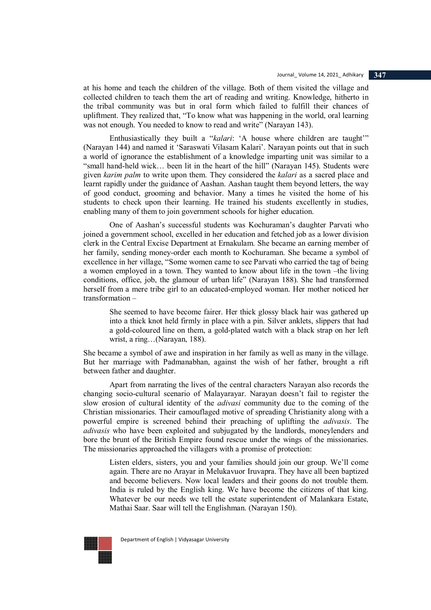at his home and teach the children of the village. Both of them visited the village and collected children to teach them the art of reading and writing. Knowledge, hitherto in the tribal community was but in oral form which failed to fulfill their chances of upliftment. They realized that, "To know what was happening in the world, oral learning was not enough. You needed to know to read and write" (Narayan 143).

Enthusiastically they built a "*kalari*: 'A house where children are taught'" (Narayan 144) and named it 'Saraswati Vilasam Kalari'. Narayan points out that in such a world of ignorance the establishment of a knowledge imparting unit was similar to a "small hand-held wick… been lit in the heart of the hill" (Narayan 145). Students were given *karim palm* to write upon them. They considered the *kalari* as a sacred place and learnt rapidly under the guidance of Aashan. Aashan taught them beyond letters, the way of good conduct, grooming and behavior. Many a times he visited the home of his students to check upon their learning. He trained his students excellently in studies, enabling many of them to join government schools for higher education.

One of Aashan's successful students was Kochuraman's daughter Parvati who joined a government school, excelled in her education and fetched job as a lower division clerk in the Central Excise Department at Ernakulam. She became an earning member of her family, sending money-order each month to Kochuraman. She became a symbol of excellence in her village, "Some women came to see Parvati who carried the tag of being a women employed in a town. They wanted to know about life in the town –the living conditions, office, job, the glamour of urban life" (Narayan 188). She had transformed herself from a mere tribe girl to an educated-employed woman. Her mother noticed her transformation –

She seemed to have become fairer. Her thick glossy black hair was gathered up into a thick knot held firmly in place with a pin. Silver anklets, slippers that had a gold-coloured line on them, a gold-plated watch with a black strap on her left wrist, a ring…(Narayan, 188).

She became a symbol of awe and inspiration in her family as well as many in the village. But her marriage with Padmanabhan, against the wish of her father, brought a rift between father and daughter.

Apart from narrating the lives of the central characters Narayan also records the changing socio-cultural scenario of Malayarayar. Narayan doesn't fail to register the slow erosion of cultural identity of the *adivasi* community due to the coming of the Christian missionaries. Their camouflaged motive of spreading Christianity along with a powerful empire is screened behind their preaching of uplifting the *adivasis*. The *adivasis* who have been exploited and subjugated by the landlords, moneylenders and bore the brunt of the British Empire found rescue under the wings of the missionaries. The missionaries approached the villagers with a promise of protection:

Listen elders, sisters, you and your families should join our group. We'll come again. There are no Arayar in Melukavuor Iruvapra. They have all been baptized and become believers. Now local leaders and their goons do not trouble them. India is ruled by the English king. We have become the citizens of that king. Whatever be our needs we tell the estate superintendent of Malankara Estate, Mathai Saar. Saar will tell the Englishman. (Narayan 150).



Department of English | Vidyasagar University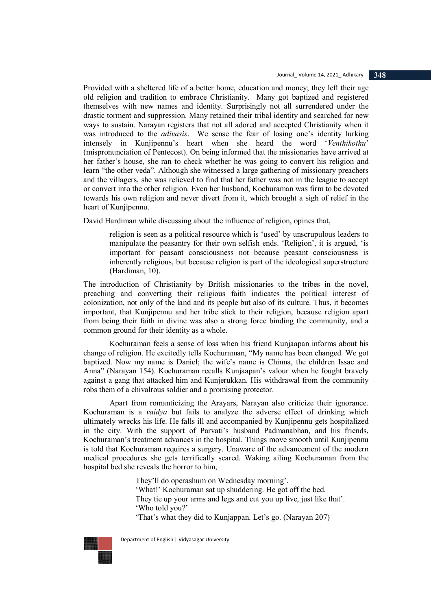Provided with a sheltered life of a better home, education and money; they left their age old religion and tradition to embrace Christianity. Many got baptized and registered themselves with new names and identity. Surprisingly not all surrendered under the drastic torment and suppression. Many retained their tribal identity and searched for new ways to sustain. Narayan registers that not all adored and accepted Christianity when it was introduced to the *adivasis*. We sense the fear of losing one's identity lurking intensely in Kunjipennu's heart when she heard the word '*Venthikothu*' (mispronunciation of Pentecost). On being informed that the missionaries have arrived at her father's house, she ran to check whether he was going to convert his religion and learn "the other veda". Although she witnessed a large gathering of missionary preachers and the villagers, she was relieved to find that her father was not in the league to accept or convert into the other religion. Even her husband, Kochuraman was firm to be devoted towards his own religion and never divert from it, which brought a sigh of relief in the heart of Kunjipennu.

David Hardiman while discussing about the influence of religion, opines that,

religion is seen as a political resource which is 'used' by unscrupulous leaders to manipulate the peasantry for their own selfish ends. 'Religion', it is argued, 'is important for peasant consciousness not because peasant consciousness is inherently religious, but because religion is part of the ideological superstructure (Hardiman, 10).

The introduction of Christianity by British missionaries to the tribes in the novel, preaching and converting their religious faith indicates the political interest of colonization, not only of the land and its people but also of its culture. Thus, it becomes important, that Kunjipennu and her tribe stick to their religion, because religion apart from being their faith in divine was also a strong force binding the community, and a common ground for their identity as a whole.

Kochuraman feels a sense of loss when his friend Kunjaapan informs about his change of religion. He excitedly tells Kochuraman, "My name has been changed. We got baptized. Now my name is Daniel; the wife's name is Chinna, the children Issac and Anna" (Narayan 154). Kochuraman recalls Kunjaapan's valour when he fought bravely against a gang that attacked him and Kunjerukkan. His withdrawal from the community robs them of a chivalrous soldier and a promising protector.

Apart from romanticizing the Arayars, Narayan also criticize their ignorance. Kochuraman is a *vaidya* but fails to analyze the adverse effect of drinking which ultimately wrecks his life. He falls ill and accompanied by Kunjipennu gets hospitalized in the city. With the support of Parvati's husband Padmanabhan, and his friends, Kochuraman's treatment advances in the hospital. Things move smooth until Kunjipennu is told that Kochuraman requires a surgery. Unaware of the advancement of the modern medical procedures she gets terrifically scared*.* Waking ailing Kochuraman from the hospital bed she reveals the horror to him,

They'll do operashum on Wednesday morning'.

'What!' Kochuraman sat up shuddering. He got off the bed.

- They tie up your arms and legs and cut you up live, just like that'.
- 'Who told you?'
	- 'That's what they did to Kunjappan. Let's go. (Narayan 207)